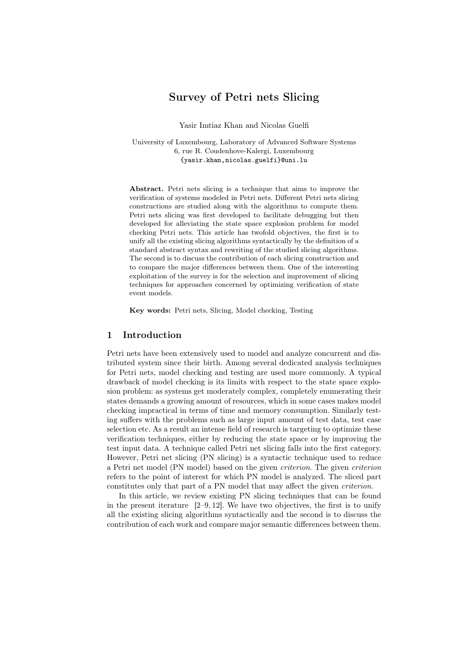# Survey of Petri nets Slicing

Yasir Imtiaz Khan and Nicolas Guelfi

University of Luxembourg, Laboratory of Advanced Software Systems 6, rue R. Coudenhove-Kalergi, Luxembourg {yasir.khan,nicolas.guelfi}@uni.lu

Abstract. Petri nets slicing is a technique that aims to improve the verification of systems modeled in Petri nets. Different Petri nets slicing constructions are studied along with the algorithms to compute them. Petri nets slicing was first developed to facilitate debugging but then developed for alleviating the state space explosion problem for model checking Petri nets. This article has twofold objectives, the first is to unify all the existing slicing algorithms syntactically by the definition of a standard abstract syntax and rewriting of the studied slicing algorithms. The second is to discuss the contribution of each slicing construction and to compare the major differences between them. One of the interesting exploitation of the survey is for the selection and improvement of slicing techniques for approaches concerned by optimizing verification of state event models.

Key words: Petri nets, Slicing, Model checking, Testing

### 1 Introduction

Petri nets have been extensively used to model and analyze concurrent and distributed system since their birth. Among several dedicated analysis techniques for Petri nets, model checking and testing are used more commonly. A typical drawback of model checking is its limits with respect to the state space explosion problem: as systems get moderately complex, completely enumerating their states demands a growing amount of resources, which in some cases makes model checking impractical in terms of time and memory consumption. Similarly testing suffers with the problems such as large input amount of test data, test case selection etc. As a result an intense field of research is targeting to optimize these verification techniques, either by reducing the state space or by improving the test input data. A technique called Petri net slicing falls into the first category. However, Petri net slicing (PN slicing) is a syntactic technique used to reduce a Petri net model (PN model) based on the given criterion. The given criterion refers to the point of interest for which PN model is analyzed. The sliced part constitutes only that part of a PN model that may affect the given criterion.

In this article, we review existing PN slicing techniques that can be found in the present iterature  $[2-9, 12]$ . We have two objectives, the first is to unify all the existing slicing algorithms syntactically and the second is to discuss the contribution of each work and compare major semantic differences between them.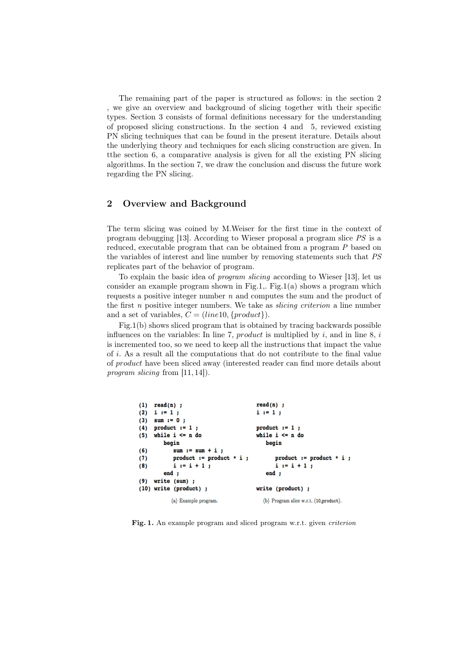The remaining part of the paper is structured as follows: in the section 2 , we give an overview and background of slicing together with their specific types. Section 3 consists of formal definitions necessary for the understanding of proposed slicing constructions. In the section 4 and 5, reviewed existing PN slicing techniques that can be found in the present iterature. Details about the underlying theory and techniques for each slicing construction are given. In tthe section 6, a comparative analysis is given for all the existing PN slicing algorithms. In the section 7, we draw the conclusion and discuss the future work regarding the PN slicing.

# 2 Overview and Background

The term slicing was coined by M.Weiser for the first time in the context of program debugging [13]. According to Wieser proposal a program slice PS is a reduced, executable program that can be obtained from a program P based on the variables of interest and line number by removing statements such that PS replicates part of the behavior of program.

To explain the basic idea of program slicing according to Wieser [13], let us consider an example program shown in Fig.1,. Fig.1(a) shows a program which requests a positive integer number  $n$  and computes the sum and the product of the first  $n$  positive integer numbers. We take as *slicing criterion* a line number and a set of variables,  $C = (line10, {product}).$ 

Fig.1(b) shows sliced program that is obtained by tracing backwards possible influences on the variables: In line 7, product is multiplied by  $i$ , and in line 8,  $i$ is incremented too, so we need to keep all the instructions that impact the value of i. As a result all the computations that do not contribute to the final value of product have been sliced away (interested reader can find more details about program slicing from [11, 14]).

```
(1) read(n);
                                       read(n) ;
(2) i := 1;
                                       i := 1;(3) sum := 0;
(4)product := 1;
                                       product := 1;
    while i \leq n do
                                       while i \leq n do
(5)begin
        begin
(6)sum := sum + i;
           product := product * i ;
                                             product := product * i ;
(7)(8)i := i + 1;i := i + 1;end :
                                          end :
(9) write (sum);
(10) write (product) ;
                                       write (product) :
          (a) Example program.
                                         (b) Program slice w.r.t. (10, product).
```
Fig. 1. An example program and sliced program w.r.t. given criterion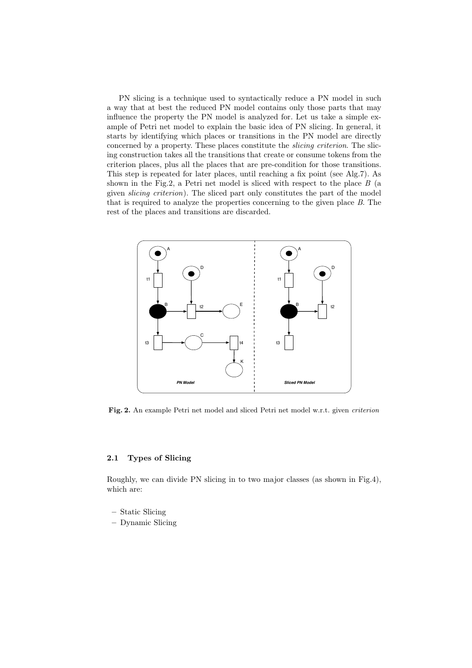PN slicing is a technique used to syntactically reduce a PN model in such a way that at best the reduced PN model contains only those parts that may influence the property the PN model is analyzed for. Let us take a simple example of Petri net model to explain the basic idea of PN slicing. In general, it starts by identifying which places or transitions in the PN model are directly concerned by a property. These places constitute the *slicing criterion*. The slicing construction takes all the transitions that create or consume tokens from the criterion places, plus all the places that are pre-condition for those transitions. This step is repeated for later places, until reaching a fix point (see Alg.7). As shown in the Fig.2, a Petri net model is sliced with respect to the place  $B$  (a given slicing criterion). The sliced part only constitutes the part of the model that is required to analyze the properties concerning to the given place B. The rest of the places and transitions are discarded.



Fig. 2. An example Petri net model and sliced Petri net model w.r.t. given criterion

## 2.1 Types of Slicing

Roughly, we can divide PN slicing in to two major classes (as shown in Fig.4), which are:

- Static Slicing
- Dynamic Slicing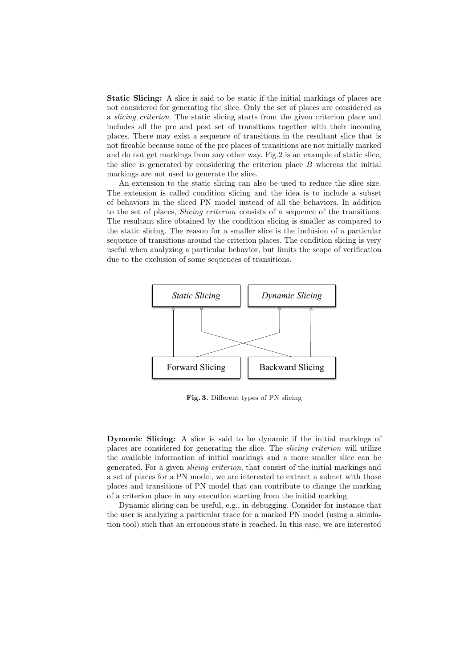Static Slicing: A slice is said to be static if the initial markings of places are not considered for generating the slice. Only the set of places are considered as a slicing criterion. The static slicing starts from the given criterion place and includes all the pre and post set of transitions together with their incoming places. There may exist a sequence of transitions in the resultant slice that is not fireable because some of the pre places of transitions are not initially marked and do not get markings from any other way. Fig.2 is an example of static slice, the slice is generated by considering the criterion place  $B$  whereas the initial markings are not used to generate the slice.

An extension to the static slicing can also be used to reduce the slice size. The extension is called condition slicing and the idea is to include a subset of behaviors in the sliced PN model instead of all the behaviors. In addition to the set of places, Slicing criterion consists of a sequence of the transitions. The resultant slice obtained by the condition slicing is smaller as compared to the static slicing. The reason for a smaller slice is the inclusion of a particular sequence of transitions around the criterion places. The condition slicing is very useful when analyzing a particular behavior, but limits the scope of verification due to the exclusion of some sequences of transitions.



Fig. 3. Different types of PN slicing

Dynamic Slicing: A slice is said to be dynamic if the initial markings of places are considered for generating the slice. The slicing criterion will utilize the available information of initial markings and a more smaller slice can be generated. For a given slicing criterion, that consist of the initial markings and a set of places for a PN model, we are interested to extract a subnet with those places and transitions of PN model that can contribute to change the marking of a criterion place in any execution starting from the initial marking.

Dynamic slicing can be useful, e.g., in debugging. Consider for instance that the user is analyzing a particular trace for a marked PN model (using a simulation tool) such that an erroneous state is reached. In this case, we are interested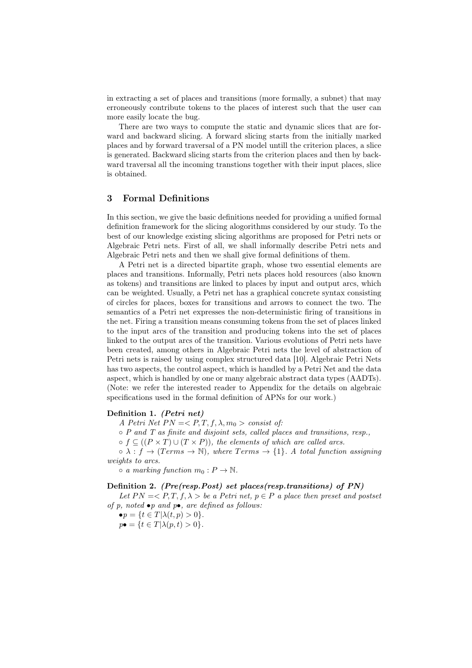in extracting a set of places and transitions (more formally, a subnet) that may erroneously contribute tokens to the places of interest such that the user can more easily locate the bug.

There are two ways to compute the static and dynamic slices that are forward and backward slicing. A forward slicing starts from the initially marked places and by forward traversal of a PN model untill the criterion places, a slice is generated. Backward slicing starts from the criterion places and then by backward traversal all the incoming transtions together with their input places, slice is obtained.

# 3 Formal Definitions

In this section, we give the basic definitions needed for providing a unified formal definition framework for the slicing alogorithms considered by our study. To the best of our knowledge existing slicing algorithms are proposed for Petri nets or Algebraic Petri nets. First of all, we shall informally describe Petri nets and Algebraic Petri nets and then we shall give formal definitions of them.

A Petri net is a directed bipartite graph, whose two essential elements are places and transitions. Informally, Petri nets places hold resources (also known as tokens) and transitions are linked to places by input and output arcs, which can be weighted. Usually, a Petri net has a graphical concrete syntax consisting of circles for places, boxes for transitions and arrows to connect the two. The semantics of a Petri net expresses the non-deterministic firing of transitions in the net. Firing a transition means consuming tokens from the set of places linked to the input arcs of the transition and producing tokens into the set of places linked to the output arcs of the transition. Various evolutions of Petri nets have been created, among others in Algebraic Petri nets the level of abstraction of Petri nets is raised by using complex structured data [10]. Algebraic Petri Nets has two aspects, the control aspect, which is handled by a Petri Net and the data aspect, which is handled by one or many algebraic abstract data types (AADTs). (Note: we refer the interested reader to Appendix for the details on algebraic specifications used in the formal definition of APNs for our work.)

## Definition 1. (Petri net)

A Petri Net  $PN = \langle P, T, f, \lambda, m_0 \rangle$  consist of:

 $\circ$  P and T as finite and disjoint sets, called places and transitions, resp.,

 $\circ$  f  $\subseteq$   $((P \times T) \cup (T \times P))$ , the elements of which are called arcs.

 $\circ \lambda : f \to (Terms \to \mathbb{N})$ , where Terms  $\to \{1\}$ . A total function assigning weights to arcs.

 $\circ$  a marking function  $m_0 : P \to \mathbb{N}$ .

#### Definition 2. (Pre(resp.Post) set places(resp.transitions) of PN)

Let  $PN=< P, T, f, \lambda > be$  a Petri net,  $p \in P$  a place then preset and postset of  $p$ , noted  $\bullet p$  and  $p\bullet$ , are defined as follows:

$$
\bullet p = \{ t \in T | \lambda(t, p) > 0 \}.
$$

 $p\bullet = \{t \in T | \lambda(p,t) > 0\}.$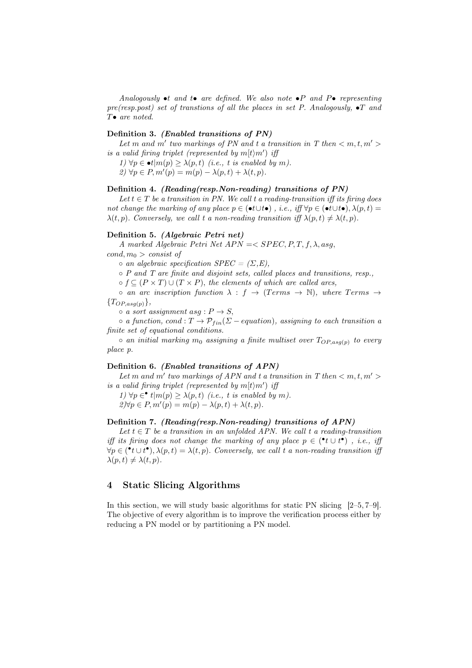Analogously  $\bullet t$  and  $t \bullet$  are defined. We also note  $\bullet P$  and  $P \bullet$  representing pre(resp.post) set of transtions of all the places in set P. Analogously,  $\bullet T$  and  $T\bullet$  are noted.

## Definition 3. (Enabled transitions of PN)

Let m and m' two markings of PN and t a transition in T then  $\langle m, t, m' \rangle$ is a valid firing triplet (represented by  $m[t\rangle m'$ ) iff

1)  $\forall p \in \bullet t | m(p) \geq \lambda(p, t)$  (i.e., t is enabled by m).

 $2) \forall p \in P, m'(p) = m(p) - \lambda(p, t) + \lambda(t, p).$ 

### Definition 4. (Reading(resp.Non-reading) transitions of PN)

Let  $t \in T$  be a transition in PN. We call t a reading-transition iff its firing does not change the marking of any place  $p \in (\bullet t \cup t \bullet)$ , i.e., iff  $\forall p \in (\bullet t \cup t \bullet)$ ,  $\lambda(p, t) =$  $\lambda(t, p)$ . Conversely, we call t a non-reading transition iff  $\lambda(p, t) \neq \lambda(t, p)$ .

## Definition 5. (Algebraic Petri net)

A marked Algebraic Petri Net  $APN = \langle$  SPEC, P, T, f,  $\lambda$ , asg,

 $cond, m_0 > const of$ 

 $\circ$  an algebraic specification SPEC =  $(\Sigma, E)$ ,

◦ P and T are finite and disjoint sets, called places and transitions, resp.,

 $\circ$  f  $\subseteq$   $(P \times T) \cup (T \times P)$ , the elements of which are called arcs,

 $\circ$  an arc inscription function  $\lambda : f \rightarrow (Terms \rightarrow \mathbb{N})$ , where Terms  $\rightarrow$  ${T_{OP,asg(p)}}$ ,

 $\circ$  a sort assignment asg :  $P \rightarrow S$ ,

 $\circ$  a function, cond :  $T \to \mathcal{P}_{fin}(\Sigma - \text{equation})$ , assigning to each transition a finite set of equational conditions.

 $\circ$  an initial marking  $m_0$  assigning a finite multiset over  $T_{OP,asg(p)}$  to every place p.

#### Definition 6. (Enabled transitions of APN)

Let m and m' two markings of APN and t a transition in T then  $< m, t, m' >$ is a valid firing triplet (represented by  $m[t/m']$  iff

1)  $\forall p \in \mathcal{N}(m(p) \geq \lambda(p, t)$  (i.e., t is enabled by m).  $2 \forall p \in P, m'(p) = m(p) - \lambda(p, t) + \lambda(t, p).$ 

#### Definition 7. (Reading(resp.Non-reading) transitions of APN)

Let  $t \in T$  be a transition in an unfolded APN. We call t a reading-transition iff its firing does not change the marking of any place  $p \in (\cdot t \cup t^{\bullet})$ , i.e., iff  $\forall p \in (\mathbf{P} t \cup t^{\bullet}), \lambda(p, t) = \lambda(t, p)$ . Conversely, we call t a non-reading transition if  $\lambda(p, t) \neq \lambda(t, p).$ 

# 4 Static Slicing Algorithms

In this section, we will study basic algorithms for static PN slicing [2–5, 7–9]. The objective of every algorithm is to improve the verification process either by reducing a PN model or by partitioning a PN model.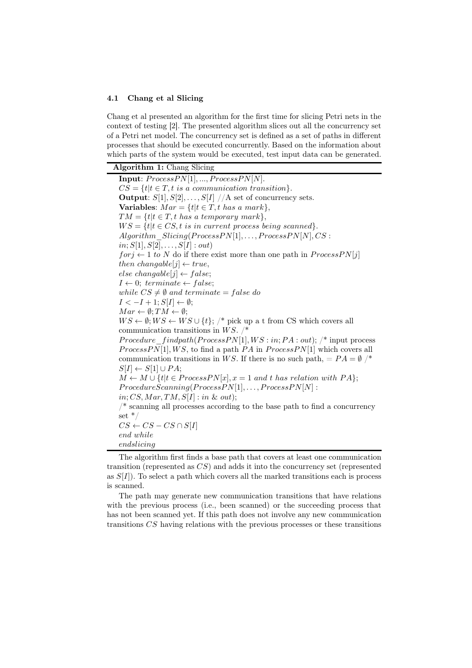### 4.1 Chang et al Slicing

Chang et al presented an algorithm for the first time for slicing Petri nets in the context of testing [2]. The presented algorithm slices out all the concurrency set of a Petri net model. The concurrency set is defined as a set of paths in different processes that should be executed concurrently. Based on the information about which parts of the system would be executed, test input data can be generated.

Algorithm 1: Chang Slicing Input:  $ProcessPN[1], ..., ProcessPN[N].$  $CS = \{t | t \in T, t \text{ is a communication transition}\}.$ **Output:**  $S[1], S[2], \ldots, S[I]$  //A set of concurrency sets. Variables:  $Mar = \{t | t \in T, t \text{ has a mark}\},\$  $TM = \{t | t \in T, t \text{ has a temporary mark}\},\$  $WS = \{t | t \in CS, t \text{ is in current process being scanned}\}.$  $Algorithm\_Slicing(ProcessPN[1], \ldots, ProcessPN[N], CS:$  $in; S[1], S[2], \ldots, S[I] : out)$  $for j \leftarrow 1 to N$  do if there exist more than one path in  $ProcessPN[i]$ then changable[j]  $\leftarrow true$ , else changable $[i] \leftarrow false;$  $I \leftarrow 0$ : terminate  $\leftarrow$  false: while  $CS \neq \emptyset$  and terminate = false do  $I < -I + 1$ ;  $S[I] \leftarrow \emptyset$ ;  $Mar \leftarrow \emptyset$ ;  $TM \leftarrow \emptyset$ ;  $WS \leftarrow \emptyset; WS \leftarrow WS \cup \{t\};$  /\* pick up a t from CS which covers all communication transitions in WS.  $/*$ *Procedure findpath*( $ProcessPN[1], WS : in; PA : out);$  /\* input process  $ProcessPN[1], WS$ , to find a path PA in  $ProcessPN[1]$  which covers all communication transitions in WS. If there is no such path, =  $PA = \emptyset$  /\*  $S[I] \leftarrow S[1] \cup PA;$  $M \leftarrow M \cup \{t | t \in ProcessPN[x], x = 1 \text{ and } t \text{ has relation with } PA\};$  $Proceedure Scanning(Process PN[1], \ldots, ProcessPN[N]$ :  $in; CS, Mar, TM, S[I] : in & out);$ /\* scanning all processes according to the base path to find a concurrency set \*/  $CS \leftarrow CS - CS \cap S[I]$ end while endslicing

The algorithm first finds a base path that covers at least one communication transition (represented as  $CS$ ) and adds it into the concurrency set (represented as  $S[I]$ ). To select a path which covers all the marked transitions each is process is scanned.

The path may generate new communication transitions that have relations with the previous process (i.e., been scanned) or the succeeding process that has not been scanned yet. If this path does not involve any new communication transitions CS having relations with the previous processes or these transitions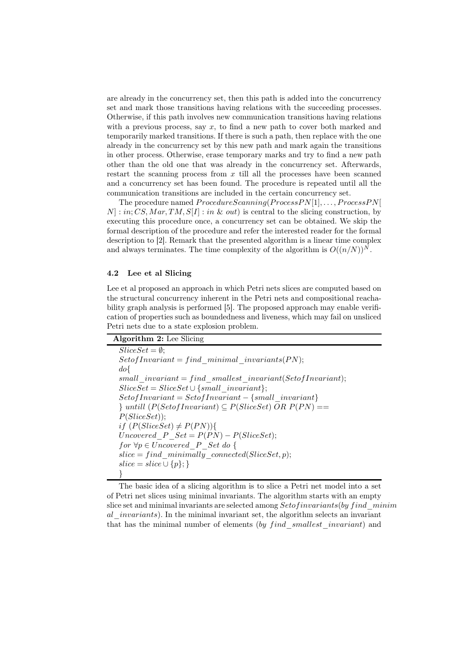are already in the concurrency set, then this path is added into the concurrency set and mark those transitions having relations with the succeeding processes. Otherwise, if this path involves new communication transitions having relations with a previous process, say  $x$ , to find a new path to cover both marked and temporarily marked transitions. If there is such a path, then replace with the one already in the concurrency set by this new path and mark again the transitions in other process. Otherwise, erase temporary marks and try to find a new path other than the old one that was already in the concurrency set. Afterwards, restart the scanning process from  $x$  till all the processes have been scanned and a concurrency set has been found. The procedure is repeated until all the communication transitions are included in the certain concurrency set.

The procedure named  $Proceedure Scanning(ProcessPN[1], \ldots, ProcessPN[$  $N|: in; CS, Mar, TM, S[I]: in & out)$  is central to the slicing construction, by executing this procedure once, a concurrency set can be obtained. We skip the formal description of the procedure and refer the interested reader for the formal description to [2]. Remark that the presented algorithm is a linear time complex and always terminates. The time complexity of the algorithm is  $O((n/N))^N$ .

#### 4.2 Lee et al Slicing

Lee et al proposed an approach in which Petri nets slices are computed based on the structural concurrency inherent in the Petri nets and compositional reachability graph analysis is performed [5]. The proposed approach may enable verification of properties such as boundedness and liveness, which may fail on unsliced Petri nets due to a state explosion problem.

| <b>Algorithm 2:</b> Lee Slicing |  |  |
|---------------------------------|--|--|
|---------------------------------|--|--|

 $SliceSet = \emptyset$ ;  $Set of Invariant = find$  minimal invariants(PN); do{  $small$  invariant = find smallest invariant(Setof Invariant);  $SliceSet = SliceSet \cup \{small\; invariant\};$  $Set of Invariant = Set of Invariant - {small-invariant}$  $\}$  untill  $(P(Set of Invariant) \subseteq P(Slice Set) \ OR \ P(PN) ==$ P(SliceSet)); if  $(P(SliceSet) \neq P(PN))$ { Uncovered  $P$   $Set = P(P N) - P(Slice Set);$ for  $\forall p \in Uncovered\_P\_Set$  do {  $slice = find\_minimally\_connected(SliceSet, p);$  $slice = slice \cup \{p\};\}$ }

The basic idea of a slicing algorithm is to slice a Petri net model into a set of Petri net slices using minimal invariants. The algorithm starts with an empty slice set and minimal invariants are selected among  $Set of invariants (by find-minim)$ al *invariants*). In the minimal invariant set, the algorithm selects an invariant that has the minimal number of elements  $(by\,find\,smallest\; invariant)$  and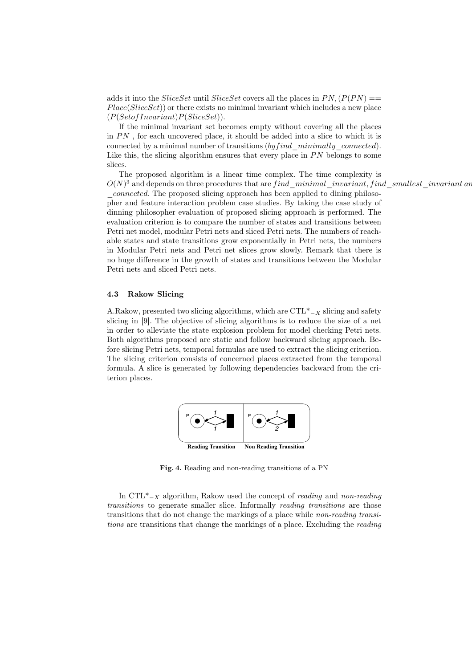adds it into the *SliceSet* until *SliceSet* covers all the places in  $PN$ ,  $(P(PN) ==$  $Place(SliceSet)$  or there exists no minimal invariant which includes a new place  $(P(Set of Invariant)P(Slice Set)).$ 

If the minimal invariant set becomes empty without covering all the places in  $PN$ , for each uncovered place, it should be added into a slice to which it is connected by a minimal number of transitions  $(by find -minimally -connected)$ . Like this, the slicing algorithm ensures that every place in  $PN$  belongs to some slices.

The proposed algorithm is a linear time complex. The time complexity is  $O(N)^3$  and depends on three procedures that are  $find\_minimal\_invariant, find\_smallest\_invariant$  and \_connected. The proposed slicing approach has been applied to dining philosopher and feature interaction problem case studies. By taking the case study of dinning philosopher evaluation of proposed slicing approach is performed. The evaluation criterion is to compare the number of states and transitions between Petri net model, modular Petri nets and sliced Petri nets. The numbers of reachable states and state transitions grow exponentially in Petri nets, the numbers in Modular Petri nets and Petri net slices grow slowly. Remark that there is no huge difference in the growth of states and transitions between the Modular Petri nets and sliced Petri nets.

#### 4.3 Rakow Slicing

A.Rakow, presented two slicing algorithms, which are  $\text{CTL}^*_{-X}$  slicing and safety slicing in [9]. The objective of slicing algorithms is to reduce the size of a net in order to alleviate the state explosion problem for model checking Petri nets. Both algorithms proposed are static and follow backward slicing approach. Before slicing Petri nets, temporal formulas are used to extract the slicing criterion. The slicing criterion consists of concerned places extracted from the temporal formula. A slice is generated by following dependencies backward from the criterion places.



Fig. 4. Reading and non-reading transitions of a PN

In  $\text{CTL}^*_{-X}$  algorithm, Rakow used the concept of *reading* and *non-reading* transitions to generate smaller slice. Informally reading transitions are those transitions that do not change the markings of a place while non-reading transitions are transitions that change the markings of a place. Excluding the reading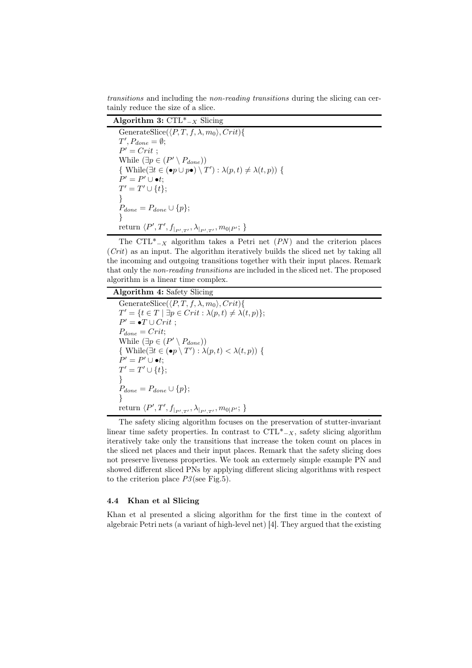transitions and including the non-reading transitions during the slicing can certainly reduce the size of a slice.

Algorithm 3:  $\overline{\text{CTL*}}_{-X}$  Slicing

GenerateSlice( $\langle P, T, f, \lambda, m_0 \rangle$ , Crit){  $T', P_{done} = \emptyset;$  $P' = Crit ;$ While  $(\exists p \in (P' \setminus P_{done}))$ { While( $\exists t \in (\bullet p \cup p\bullet) \setminus T' : \lambda(p, t) \neq \lambda(t, p))$  {  $P' = P' \cup \bullet t;$  $T' = T' \cup \{t\};$ }  $P_{done} = P_{done} \cup \{p\};$ } return  $\langle P', T', f_{|_{P',T'}}, \lambda_{|_{P',T'}}, m_{0|P'}; \}$ 

The CTL<sup>\*</sup> $-<sub>X</sub>$  algorithm takes a Petri net (PN) and the criterion places  $(Crit)$  as an input. The algorithm iteratively builds the sliced net by taking all the incoming and outgoing transitions together with their input places. Remark that only the non-reading transitions are included in the sliced net. The proposed algorithm is a linear time complex.

Algorithm 4: Safety Slicing GenerateSlice( $\langle P, T, f, \lambda, m_0 \rangle$ , Crit){  $T' = \{t \in T \mid \exists p \in Crit : \lambda(p, t) \neq \lambda(t, p)\};\$  $P' = \bullet T \cup Crit;$  $P_{done} = Crit;$ While  $(\exists p \in (P' \setminus P_{done}))$ { While( $\exists t \in (\bullet p \setminus T') : \lambda(p, t) < \lambda(t, p)$ ) {  $P' = P' \cup \bullet t;$  $T' = T' \cup \{t\};$ }  $P_{done} = P_{done} \cup \{p\};$ } return  $\langle P', T', f_{|_{P',T'}}, \lambda_{|_{P',T'}}, m_{0|P'}; \}$ 

The safety slicing algorithm focuses on the preservation of stutter-invariant linear time safety properties. In contrast to  $\text{CTL}^*_{-X}$ , safety slicing algorithm iteratively take only the transitions that increase the token count on places in the sliced net places and their input places. Remark that the safety slicing does not preserve liveness properties. We took an extermely simple example PN and showed different sliced PNs by applying different slicing algorithms with respect to the criterion place  $P3$ (see Fig.5).

#### 4.4 Khan et al Slicing

Khan et al presented a slicing algorithm for the first time in the context of algebraic Petri nets (a variant of high-level net) [4]. They argued that the existing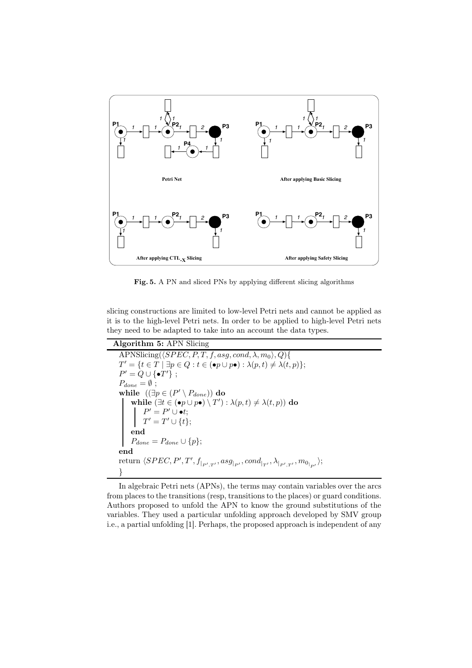

Fig. 5. A PN and sliced PNs by applying different slicing algorithms

slicing constructions are limited to low-level Petri nets and cannot be applied as it is to the high-level Petri nets. In order to be applied to high-level Petri nets they need to be adapted to take into an account the data types.

Algorithm 5: APN Slicing APNSlicing( $\langle SPEC, P, T, f, asg, cond, \lambda, m_0 \rangle, Q$ ){  $T' = \{t \in T \mid \exists p \in Q : t \in (\bullet p \cup p \bullet) : \lambda(p, t) \neq \lambda(t, p)\};\$  $P' = Q \cup {\{\bullet T'\}};$  $P_{done} = \emptyset$ ; while  $((\exists p \in (P' \setminus P_{done}))$  do while  $(\exists t \in (\bullet p \cup p \bullet) \setminus T') : \lambda(p, t) \neq \lambda(t, p))$  do  $P' = P' \cup \bullet t;$  $T' = T' \cup \{t\};$ end  $P_{done} = P_{done} \cup \{p\};$ end return  $\langle SPEC, P', T', f_{|_{P',T'}}, asg_{|_{P'}}, cond_{|_{T'}}, \lambda_{|_{P',T'}}, m_{0_{|_{P'}}}\rangle;$ }

In algebraic Petri nets (APNs), the terms may contain variables over the arcs from places to the transitions (resp, transitions to the places) or guard conditions. Authors proposed to unfold the APN to know the ground substitutions of the variables. They used a particular unfolding approach developed by SMV group i.e., a partial unfolding [1]. Perhaps, the proposed approach is independent of any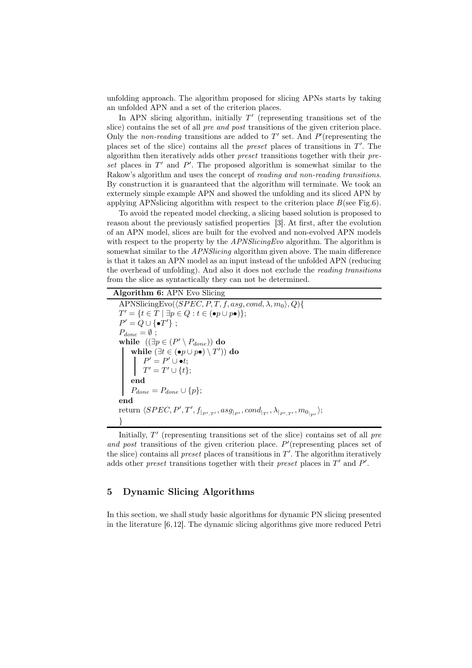unfolding approach. The algorithm proposed for slicing APNs starts by taking an unfolded APN and a set of the criterion places.

In APN slicing algorithm, initially  $T'$  (representing transitions set of the slice) contains the set of all pre and post transitions of the given criterion place. Only the *non-reading* transitions are added to  $T'$  set. And  $P'$  (representing the places set of the slice) contains all the *preset* places of transitions in  $T'$ . The algorithm then iteratively adds other preset transitions together with their preset places in  $T'$  and  $P'$ . The proposed algorithm is somewhat similar to the Rakow's algorithm and uses the concept of reading and non-reading transitions. By construction it is guaranteed that the algorithm will terminate. We took an extermely simple example APN and showed the unfolding and its sliced APN by applying APNslicing algorithm with respect to the criterion place  $B$ (see Fig.6).

To avoid the repeated model checking, a slicing based solution is proposed to reason about the previously satisfied properties [3]. At first, after the evolution of an APN model, slices are built for the evolved and non-evolved APN models with respect to the property by the APNSlicingEvo algorithm. The algorithm is somewhat similar to the *APNSlicing* algorithm given above. The main difference is that it takes an APN model as an input instead of the unfolded APN (reducing the overhead of unfolding). And also it does not exclude the *reading transitions* from the slice as syntactically they can not be determined.

# Algorithm 6: APN Evo Slicing  $APNSlicingEvo(\langle SPEC, P, T, f, asg, cond, \lambda, m_0 \rangle, Q)$ {  $T' = \{t \in T \mid \exists p \in Q : t \in (\bullet p \cup p\bullet)\};\$  $P' = Q \cup {\{\bullet T'\}};$  $P_{done} = \emptyset$ ; while  $((\exists p \in (P' \setminus P_{done}))$  do while  $(\exists t \in (\bullet p \cup p \bullet) \setminus T'))$  do  $P' = P' \cup \bullet t;$  $T' = T' \cup \{t\};$ end  $P_{done} = P_{done} \cup \{p\};$ end return  $\langle SPEC, P', T', f_{|_{P',T'}}, asg_{|_{P'}}, cond_{|_{T'}}, \lambda_{|_{P',T'}}, m_{0_{|_{P'}}}\rangle;$ }

Initially,  $T'$  (representing transitions set of the slice) contains set of all  $pre$ and post transitions of the given criterion place.  $P'$  (representing places set of the slice) contains all *preset* places of transitions in  $T'$ . The algorithm iteratively adds other preset transitions together with their preset places in  $T'$  and  $P'$ .

# 5 Dynamic Slicing Algorithms

In this section, we shall study basic algorithms for dynamic PN slicing presented in the literature [6, 12]. The dynamic slicing algorithms give more reduced Petri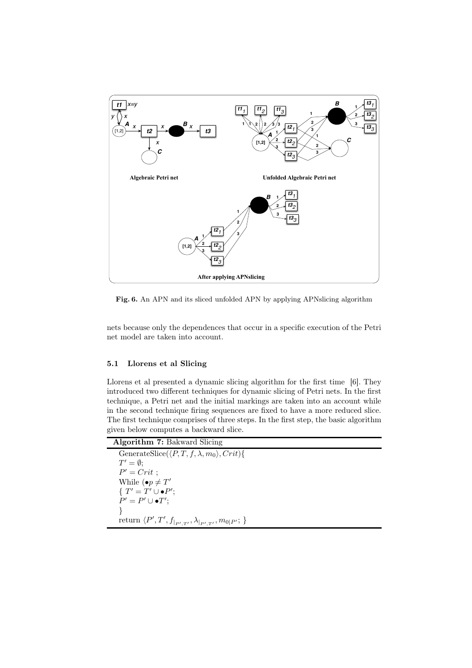

Fig. 6. An APN and its sliced unfolded APN by applying APNslicing algorithm

nets because only the dependences that occur in a specific execution of the Petri net model are taken into account.

## 5.1 Llorens et al Slicing

Llorens et al presented a dynamic slicing algorithm for the first time [6]. They introduced two different techniques for dynamic slicing of Petri nets. In the first technique, a Petri net and the initial markings are taken into an account while in the second technique firing sequences are fixed to have a more reduced slice. The first technique comprises of three steps. In the first step, the basic algorithm given below computes a backward slice.

| <b>Algorithm 7: Bakward Slicing</b>                                       |
|---------------------------------------------------------------------------|
| GenerateSlice( $\langle P, T, f, \lambda, m_0 \rangle$ , Crit){           |
| $T'=\emptyset$ ;                                                          |
| $P' = Crit$ ;                                                             |
| While $(\bullet p \neq T'$                                                |
| $\{T' = T' \cup \bullet P';$                                              |
| $P' = P' \cup \bullet T';$                                                |
|                                                                           |
| return $\langle P', T', f_{ _{P',T'}}, \lambda_{ _{P',T'}}, m_{0 P'}; \}$ |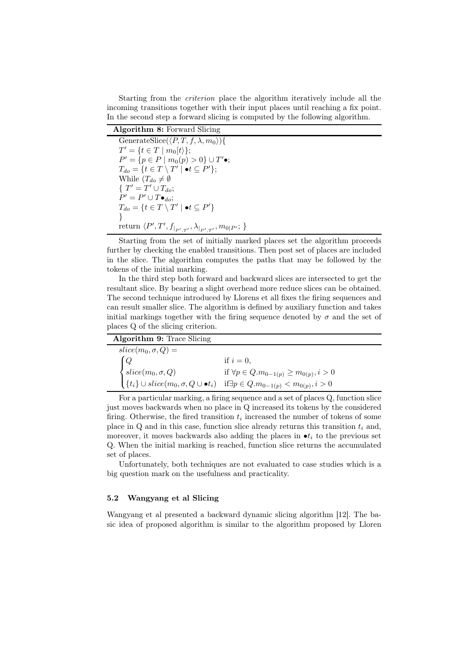Starting from the criterion place the algorithm iteratively include all the incoming transitions together with their input places until reaching a fix point. In the second step a forward slicing is computed by the following algorithm.

Algorithm 8: Forward Slicing

GenerateSlice( $\langle P, T, f, \lambda, m_0 \rangle$ ){  $T' = \{ t \in T \mid m_0[t] \};$  $P' = \{p \in P \mid m_0(p) > 0\} \cup T'$ •;  $T_{do} = \{t \in T \setminus T' \mid \bullet t \subseteq P'\};$ While  $(T_{do} \neq \emptyset)$ { $T' = T' \cup T_{do};$  $P' = P' \cup T \bullet_{do};$  $T_{do} = \{t \in T \setminus T' \mid \bullet t \subseteq P'\}$ } return  $\langle P', T', f_{|_{P',T'}}, \lambda_{|_{P',T'}}, m_{0|P'}; \}$ 

Starting from the set of initially marked places set the algorithm proceeds further by checking the enabled transitions. Then post set of places are included in the slice. The algorithm computes the paths that may be followed by the tokens of the initial marking.

In the third step both forward and backward slices are intersected to get the resultant slice. By bearing a slight overhead more reduce slices can be obtained. The second technique introduced by Llorens et all fixes the firing sequences and can result smaller slice. The algorithm is defined by auxiliary function and takes initial markings together with the firing sequence denoted by  $\sigma$  and the set of places Q of the slicing criterion.

| Algorithm 9: Trace Slicing |                                                                                                                                                                                                                                                                                                       |
|----------------------------|-------------------------------------------------------------------------------------------------------------------------------------------------------------------------------------------------------------------------------------------------------------------------------------------------------|
| $slice(m_0, \sigma, Q) =$  |                                                                                                                                                                                                                                                                                                       |
| $\left[ Q \right]$         | if $i=0$ .                                                                                                                                                                                                                                                                                            |
|                            | $\begin{cases} \text{slice}(m_0, \sigma, Q) & \text{if } \forall p \in Q.m_{0-1(p)} \geq m_{0(p)}, i > 0 \\ \{t_i\} \cup \text{slice}(m_0, \sigma, Q \cup \bullet t_i) & \text{if } \exists p \in Q.m_{0-1(p)} < m_{0(p)}, i > 0 \end{cases}$<br>if $\forall p \in Q.m_{0-1(p)} \geq m_{0(p)}, i > 0$ |
|                            |                                                                                                                                                                                                                                                                                                       |

For a particular marking, a firing sequence and a set of places Q, function slice just moves backwards when no place in Q increased its tokens by the considered firing. Otherwise, the fired transition  $t_i$  increased the number of tokens of some place in  $Q$  and in this case, function slice already returns this transition  $t_i$  and, moreover, it moves backwards also adding the places in  $\bullet t_i$  to the previous set Q. When the initial marking is reached, function slice returns the accumulated set of places.

Unfortunately, both techniques are not evaluated to case studies which is a big question mark on the usefulness and practicality.

## 5.2 Wangyang et al Slicing

Wangyang et al presented a backward dynamic slicing algorithm [12]. The basic idea of proposed algorithm is similar to the algorithm proposed by Lloren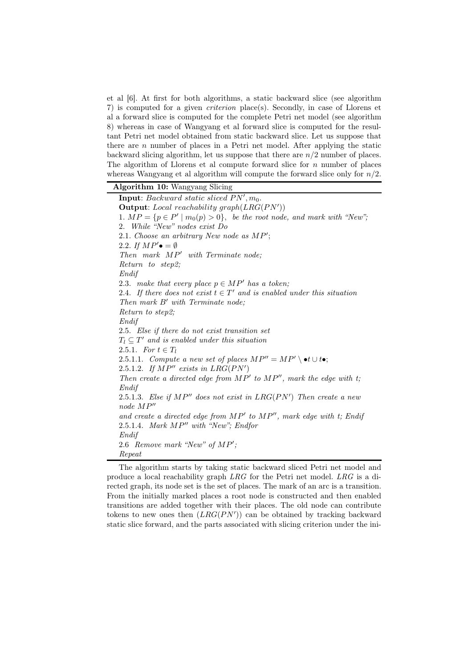et al [6]. At first for both algorithms, a static backward slice (see algorithm 7) is computed for a given criterion place(s). Secondly, in case of Llorens et al a forward slice is computed for the complete Petri net model (see algorithm 8) whereas in case of Wangyang et al forward slice is computed for the resultant Petri net model obtained from static backward slice. Let us suppose that there are  $n$  number of places in a Petri net model. After applying the static backward slicing algorithm, let us suppose that there are  $n/2$  number of places. The algorithm of Llorens et al compute forward slice for  $n$  number of places whereas Wangyang et al algorithm will compute the forward slice only for  $n/2$ .

Algorithm 10: Wangyang Slicing

**Input**: Backward static sliced  $PN', m_0$ . Output: Local reachability graph $(LRG(PN'))$ 1.  $MP = \{p \in P' \mid m_0(p) > 0\}$ , be the root node, and mark with "New"; 2. While "New" nodes exist Do 2.1. Choose an arbitrary New node as MP'; 2.2. If  $MP' \bullet = \emptyset$ Then mark  $MP'$  with Terminate node; Return to step2; Endif 2.3. make that every place  $p \in MP'$  has a token; 2.4. If there does not exist  $t \in T'$  and is enabled under this situation Then mark B′ with Terminate node; Return to step2; Endif 2.5. Else if there do not exist transition set  $T_l \subseteq T'$  and is enabled under this situation 2.5.1. For  $t \in T_l$ 2.5.1.1. Compute a new set of places  $MP'' = MP' \setminus \bullet t \cup t \bullet;$ 2.5.1.2. If  $MP''$  exists in  $LRG(PN')$ Then create a directed edge from  $MP'$  to  $MP''$ , mark the edge with t; Endif 2.5.1.3. Else if  $MP''$  does not exist in  $LRG(PN')$  Then create a new node MP′′ and create a directed edge from  $MP'$  to  $MP''$ , mark edge with t; Endif 2.5.1.4. Mark MP′′ with "New"; Endfor Endif 2.6 Remove mark "New" of MP'; Repeat

The algorithm starts by taking static backward sliced Petri net model and produce a local reachability graph LRG for the Petri net model. LRG is a directed graph, its node set is the set of places. The mark of an arc is a transition. From the initially marked places a root node is constructed and then enabled transitions are added together with their places. The old node can contribute tokens to new ones then  $(LRG(PN'))$  can be obtained by tracking backward static slice forward, and the parts associated with slicing criterion under the ini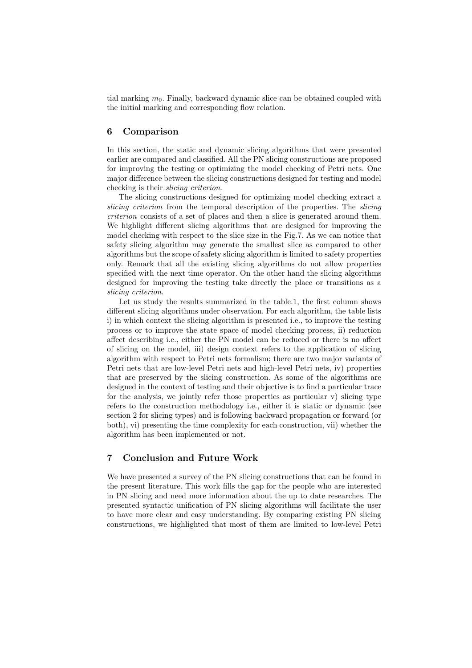tial marking  $m<sub>0</sub>$ . Finally, backward dynamic slice can be obtained coupled with the initial marking and corresponding flow relation.

# 6 Comparison

In this section, the static and dynamic slicing algorithms that were presented earlier are compared and classified. All the PN slicing constructions are proposed for improving the testing or optimizing the model checking of Petri nets. One major difference between the slicing constructions designed for testing and model checking is their slicing criterion.

The slicing constructions designed for optimizing model checking extract a slicing criterion from the temporal description of the properties. The *slicing* criterion consists of a set of places and then a slice is generated around them. We highlight different slicing algorithms that are designed for improving the model checking with respect to the slice size in the Fig.7. As we can notice that safety slicing algorithm may generate the smallest slice as compared to other algorithms but the scope of safety slicing algorithm is limited to safety properties only. Remark that all the existing slicing algorithms do not allow properties specified with the next time operator. On the other hand the slicing algorithms designed for improving the testing take directly the place or transitions as a slicing criterion.

Let us study the results summarized in the table.1, the first column shows different slicing algorithms under observation. For each algorithm, the table lists i) in which context the slicing algorithm is presented i.e., to improve the testing process or to improve the state space of model checking process, ii) reduction affect describing i.e., either the PN model can be reduced or there is no affect of slicing on the model, iii) design context refers to the application of slicing algorithm with respect to Petri nets formalism; there are two major variants of Petri nets that are low-level Petri nets and high-level Petri nets, iv) properties that are preserved by the slicing construction. As some of the algorithms are designed in the context of testing and their objective is to find a particular trace for the analysis, we jointly refer those properties as particular  $v$ ) slicing type refers to the construction methodology i.e., either it is static or dynamic (see section 2 for slicing types) and is following backward propagation or forward (or both), vi) presenting the time complexity for each construction, vii) whether the algorithm has been implemented or not.

# 7 Conclusion and Future Work

We have presented a survey of the PN slicing constructions that can be found in the present literature. This work fills the gap for the people who are interested in PN slicing and need more information about the up to date researches. The presented syntactic unification of PN slicing algorithms will facilitate the user to have more clear and easy understanding. By comparing existing PN slicing constructions, we highlighted that most of them are limited to low-level Petri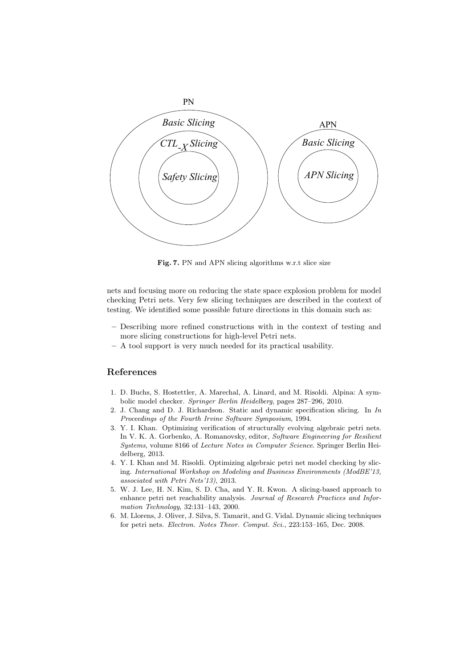

Fig. 7. PN and APN slicing algorithms w.r.t slice size

nets and focusing more on reducing the state space explosion problem for model checking Petri nets. Very few slicing techniques are described in the context of testing. We identified some possible future directions in this domain such as:

- Describing more refined constructions with in the context of testing and more slicing constructions for high-level Petri nets.
- A tool support is very much needed for its practical usability.

# References

- 1. D. Buchs, S. Hostettler, A. Marechal, A. Linard, and M. Risoldi. Alpina: A symbolic model checker. Springer Berlin Heidelberg, pages 287–296, 2010.
- 2. J. Chang and D. J. Richardson. Static and dynamic specification slicing. In In Proceedings of the Fourth Irvine Software Symposium, 1994.
- 3. Y. I. Khan. Optimizing verification of structurally evolving algebraic petri nets. In V. K. A. Gorbenko, A. Romanovsky, editor, Software Engineering for Resilient Systems, volume 8166 of Lecture Notes in Computer Science. Springer Berlin Heidelberg, 2013.
- 4. Y. I. Khan and M. Risoldi. Optimizing algebraic petri net model checking by slicing. International Workshop on Modeling and Business Environments (ModBE'13, associated with Petri Nets'13), 2013.
- 5. W. J. Lee, H. N. Kim, S. D. Cha, and Y. R. Kwon. A slicing-based approach to enhance petri net reachability analysis. Journal of Research Practices and Information Technology, 32:131–143, 2000.
- 6. M. Llorens, J. Oliver, J. Silva, S. Tamarit, and G. Vidal. Dynamic slicing techniques for petri nets. Electron. Notes Theor. Comput. Sci., 223:153–165, Dec. 2008.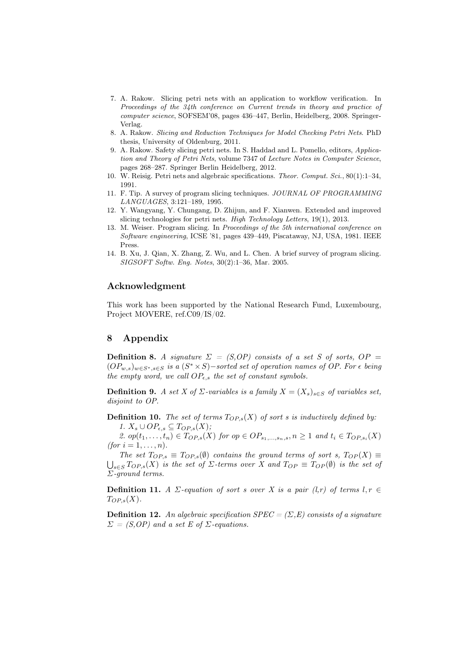- 7. A. Rakow. Slicing petri nets with an application to workflow verification. In Proceedings of the 34th conference on Current trends in theory and practice of computer science, SOFSEM'08, pages 436–447, Berlin, Heidelberg, 2008. Springer-Verlag.
- 8. A. Rakow. Slicing and Reduction Techniques for Model Checking Petri Nets. PhD thesis, University of Oldenburg, 2011.
- 9. A. Rakow. Safety slicing petri nets. In S. Haddad and L. Pomello, editors, Application and Theory of Petri Nets, volume 7347 of Lecture Notes in Computer Science, pages 268–287. Springer Berlin Heidelberg, 2012.
- 10. W. Reisig. Petri nets and algebraic specifications. Theor. Comput. Sci., 80(1):1–34, 1991.
- 11. F. Tip. A survey of program slicing techniques. JOURNAL OF PROGRAMMING LANGUAGES, 3:121–189, 1995.
- 12. Y. Wangyang, Y. Chungang, D. Zhijun, and F. Xianwen. Extended and improved slicing technologies for petri nets. High Technology Letters, 19(1), 2013.
- 13. M. Weiser. Program slicing. In Proceedings of the 5th international conference on Software engineering, ICSE '81, pages 439–449, Piscataway, NJ, USA, 1981. IEEE Press.
- 14. B. Xu, J. Qian, X. Zhang, Z. Wu, and L. Chen. A brief survey of program slicing. SIGSOFT Softw. Eng. Notes, 30(2):1–36, Mar. 2005.

## Acknowledgment

This work has been supported by the National Research Fund, Luxembourg, Project MOVERE, ref.C09/IS/02.

# 8 Appendix

**Definition 8.** A signature  $\Sigma = (S, OP)$  consists of a set S of sorts,  $OP =$  $(OP_{w,s})_{w\in S^*, s\in S}$  is a  $(S^*\times S)$  – sorted set of operation names of OP. For  $\epsilon$  being the empty word, we call  $OP_{\epsilon,s}$  the set of constant symbols.

**Definition 9.** A set X of  $\Sigma$ -variables is a family  $X = (X_s)_{s \in S}$  of variables set, disjoint to OP.

**Definition 10.** The set of terms  $T_{OP,s}(X)$  of sort s is inductively defined by: 1.  $X_s \cup OP_{\epsilon,s} \subseteq Top_{,s}(X);$ 

2. op $(t_1, \ldots, t_n) \in T_{OP,s}(X)$  for op  $\in OP_{s_1, \ldots, s_n, s}, n \geq 1$  and  $t_i \in T_{OP,s_i}(X)$ (for  $i = 1, ..., n$ ).

The set  $T_{OP,s} \equiv T_{OP,s}(\emptyset)$  contains the ground terms of sort s,  $T_{OP}(X) \equiv$  $\bigcup_{s\in S} T_{OP,s}(X)$  is the set of  $\Sigma$ -terms over X and  $T_{OP} \equiv T_{OP}(\emptyset)$  is the set of Σ-ground terms.

**Definition 11.** A  $\Sigma$ -equation of sort s over X is a pair (l,r) of terms  $l, r \in$  $T_{OP,s}(X)$ .

**Definition 12.** An algebraic specification  $SPEC = (\Sigma, E)$  consists of a signature  $\Sigma = (S, OP)$  and a set E of  $\Sigma$ -equations.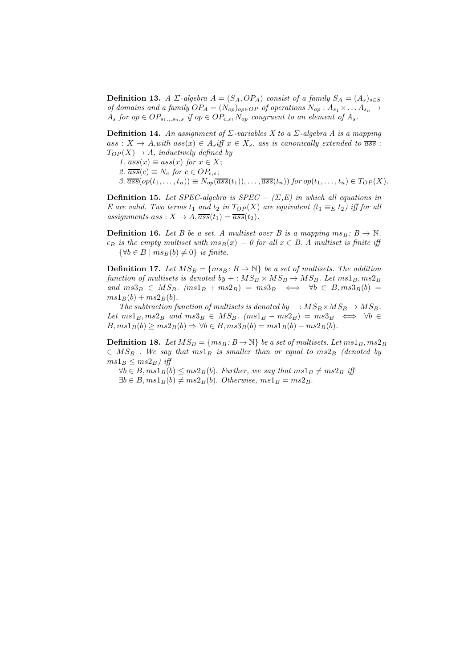**Definition 13.** A  $\Sigma$ -algebra  $A = (S_A, OP_A)$  consist of a family  $S_A = (A_s)_{s \in S}$ of domains and a family  $OP_A = (N_{op})_{op \in OP}$  of operations  $N_{op} : A_{s_1} \times \ldots A_{s_n} \rightarrow$  $A_s$  for op  $\in OP_{s_1...s_n,s}$  if op  $\in OP_{\epsilon,s}, N_{op}$  congruent to an element of  $A_s$ .

**Definition 14.** An assignment of  $\Sigma$ -variables X to a  $\Sigma$ -algebra A is a mapping  $ass: X \to A, with \; ass(x) \in A_s$ iff  $x \in X_s$ , ass is canonically extended to  $\overline{ass}$ :  $T_{OP}(X) \rightarrow A$ , inductively defined by

1.  $\overline{ass}(x) \equiv ass(x)$  for  $x \in X$ ;

2.  $\overline{ass}(c) \equiv N_c$  for  $c \in OP_{\epsilon,s};$ 

3.  $\overline{ass}(op(t_1,\ldots,t_n)) \equiv N_{op}(\overline{ass}(t_1)),\ldots,\overline{ass}(t_n))$  for  $op(t_1,\ldots,t_n) \in T_{OP}(X)$ .

**Definition 15.** Let SPEC-algebra is SPEC =  $(\Sigma, E)$  in which all equations in E are valid. Two terms  $t_1$  and  $t_2$  in  $T_{OP}(X)$  are equivalent  $(t_1 \equiv_E t_2)$  iff for all assignments ass :  $X \rightarrow A$ ,  $\overline{ass}(t_1) = \overline{ass}(t_2)$ .

**Definition 16.** Let B be a set. A multiset over B is a mapping  $ms_B: B \to \mathbb{N}$ .  $\epsilon_B$  is the empty multiset with  $ms_B(x) = 0$  for all  $x \in B$ . A multiset is finite iff  $\{\forall b \in B \mid ms_B(b) \neq 0\}$  is finite.

**Definition 17.** Let  $MS_B = \{ms_B: B \to \mathbb{N}\}\$  be a set of multisets. The addition function of multisets is denoted by  $+: MS_B \times MS_B \rightarrow MS_B$ . Let  $ms1_B, ms2_B$ and  $ms3_B \in MS_B$ .  $(ms1_B + ms2_B) = ms3_B \iff \forall b \in B, ms3_B(b) =$  $ms1B(b) + ms2B(b).$ 

The subtraction function of multisets is denoted by  $- : MS_B \times MS_B \rightarrow MS_B$ . Let  $ms1_B, ms2_B$  and  $ms3_B \in MS_B$ .  $(ms1_B - ms2_B) = ms3_B \iff \forall b \in$  $B, ms1_B(b) \geq ms2_B(b) \Rightarrow \forall b \in B, ms3_B(b) = ms1_B(b) - ms2_B(b).$ 

**Definition 18.** Let  $MS_B = \{ms_B: B \to \mathbb{N}\}\$  be a set of multisets. Let  $ms1_B, ms2_B$  $\in MS_B$ . We say that  $ms1_B$  is smaller than or equal to  $ms2_B$  (denoted by  $ms1_B \leq ms2_B$ ) iff

 $\forall b \in B, m s1_B(b) \leq m s2_B(b)$ . Further, we say that  $m s1_B \neq m s2_B$  iff  $\exists b \in B, m s1_B(b) \neq ms2_B(b)$ . Otherwise,  $m s1_B = ms2_B$ .